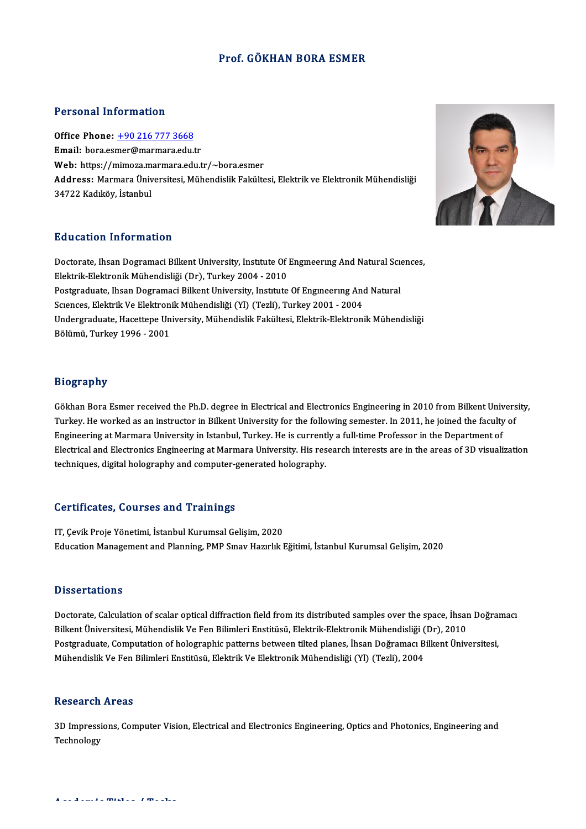#### Prof. GÖKHAN BORA ESMER

#### Personal Information

Office Phone: +90 216 777 3668 Email: bora.es[mer@marmara.edu.](tel:+90 216 777 3668)tr Web: https://mimoza.marmara.edu.tr/~bora.esmer Address: Marmara Üniversitesi, Mühendislik Fakültesi, Elektrik ve Elektronik Mühendisliği 34722 Kadıköy, İstanbul

#### Education Information

Education Information<br>Doctorate, Ihsan Dogramaci Bilkent University, Institute Of Engineering And Natural Sciences,<br>Flaktrik Flaktronik Mühandialiği (Dr.), Turkay 2004, 2010 Elektrik-Elektronik - Information<br>Doctorate, Ihsan Dogramaci Bilkent University, Institute Of<br>Elektrik-Elektronik Mühendisliği (Dr), Turkey 2004 - 2010<br>Postanaduate, Ihsan Dogramaci Billiont University, Institute Doctorate, Ihsan Dogramaci Bilkent University, Institute Of Engineering And Natural Science Elektronik Mühendisliği (Dr), Turkey 2004 - 2010<br>Postgraduate, Ihsan Dogramaci Bilkent University, Institute Of Engineering And Na Elektrik-Elektronik Mühendisliği (Dr), Turkey 2004 - 2010<br>Postgraduate, Ihsan Dogramaci Bilkent University, Institute Of Engmeering And<br>Sciences, Elektrik Ve Elektronik Mühendisliği (Yl) (Tezli), Turkey 2001 - 2004<br>Undergr Undergraduate, Hacettepe University, Mühendislik Fakültesi, Elektrik-Elektronik Mühendisliği<br>Bölümü, Turkey 1996 - 2001 Sciences, Elektrik Ve Elektronik Mühendisliği (Yl) (Tezli), Turkey 2001 - 2004

### Biography

Biography<br>Gökhan Bora Esmer received the Ph.D. degree in Electrical and Electronics Engineering in 2010 from Bilkent University,<br>Turkey, He worked as an instructor in Bilkent University for the following semester. In 2011, Tury, Lewis<br>Gökhan Bora Esmer received the Ph.D. degree in Electrical and Electronics Engineering in 2010 from Bilkent Univers<br>Turkey. He worked as an instructor in Bilkent University for the following semester. In 2011, h Gökhan Bora Esmer received the Ph.D. degree in Electrical and Electronics Engineering in 2010 from Bilkent Univ<br>Turkey. He worked as an instructor in Bilkent University for the following semester. In 2011, he joined the fa Turkey. He worked as an instructor in Bilkent University for the following semester. In 2011, he joined the faculty of<br>Engineering at Marmara University in Istanbul, Turkey. He is currently a full-time Professor in the Dep Engineering at Marmara University in Istanbul, Turkey. He is current<br>Electrical and Electronics Engineering at Marmara University. His res<br>techniques, digital holography and computer-generated holography. techniques, digital holography and computer-generated holography.<br>Certificates, Courses and Trainings

IT, Çevik Proje Yönetimi, İstanbul Kurumsal Gelişim, 2020 Education Management and Planning, PMP Sınav Hazırlık Eğitimi, İstanbul Kurumsal Gelisim, 2020

#### **Dissertations**

Dissertations<br>Doctorate, Calculation of scalar optical diffraction field from its distributed samples over the space, İhsan Doğramacı<br>Pilkont Üniversitesi Mühendislik Ve Fen Bilimleri Enstitüsü, Flektrik Flektronik Mühendi Bilbellikations<br>Bilkent Üniversitesi, Mühendislik Ve Fen Bilimleri Enstitüsü, Elektrik-Elektronik Mühendisliği (Dr), 2010<br>Bestanduate Computation of belegraphis patterns baturen tilted planes, İbsan Değreması Bilkent Üniv Doctorate, Calculation of scalar optical diffraction field from its distributed samples over the space, İhsan Doğram<br>Bilkent Üniversitesi, Mühendislik Ve Fen Bilimleri Enstitüsü, Elektrik-Elektronik Mühendisliği (Dr), 2010 Bilkent Üniversitesi, Mühendislik Ve Fen Bilimleri Enstitüsü, Elektrik-Elektronik Mühendisliği (<br>Postgraduate, Computation of holographic patterns between tilted planes, İhsan Doğramacı B<br>Mühendislik Ve Fen Bilimleri Ensti Mühendislik Ve Fen Bilimleri Enstitüsü, Elektrik Ve Elektronik Mühendisliği (Yl) (Tezli), 2004<br>Research Areas

Research Areas<br>3D Impressions, Computer Vision, Electrical and Electronics Engineering, Optics and Photonics, Engineering and<br>Teshnelegy nesear en<br>3D Impressi<br>Technology



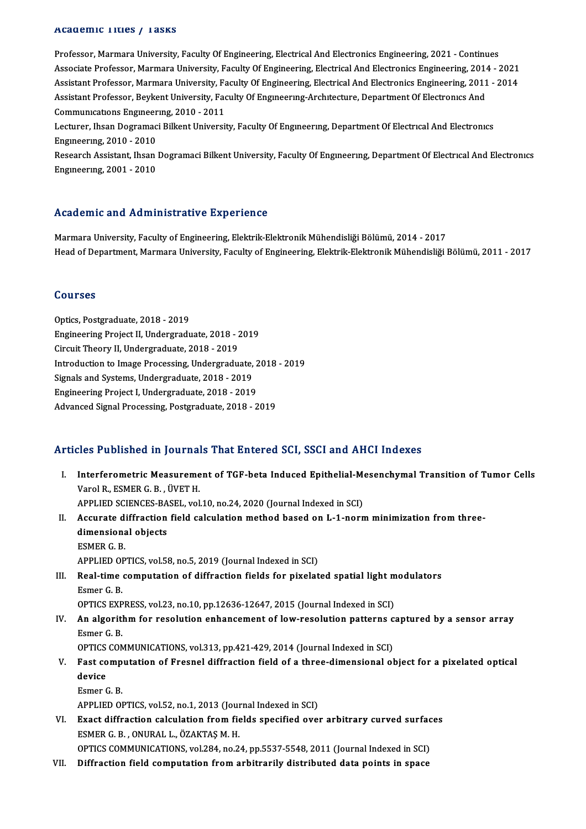#### Academic Titles / Tasks

Professor, Marmara University, Faculty Of Engineering, Electrical And Electronics Engineering, 2021 - Continues Associate Professor, Marmara University, Faculty Of Engineering, Electrical And Electronics Engineering, 2014 - 2021 Assistant Professor, Marmara University, Faculty Of Engineering, Electrical And Electronics Engineering, 2011 - 2014 Associate Professor, Marmara University, Faculty Of Engineering, Electrical And Electronics Engineering, 2014<br>Assistant Professor, Marmara University, Faculty Of Engineering, Electrical And Electronics Engineering, 2011<br>As Assistant Professor, Marmara University, Fa<br>Assistant Professor, Beykent University, Fac<br>Communications Engineering, 2010 - 2011<br>Lecturer, Ibean Docramesi Billiont Universit Assistant Professor, Beykent University, Faculty Of Engmeering-Architecture, Department Of Electronics And<br>Communications Engineering, 2010 - 2011<br>Lecturer, Ihsan Dogramaci Bilkent University, Faculty Of Engineering, Depar Communications Engineering, 2010 - 2011<br>Lecturer, Ihsan Dogramaci Bilkent University, Faculty Of Engineering, Department Of Electrical And Electronics<br>Engineering, 2010 - 2010 Research Assistant, Ihsan Dogramaci Bilkent University, Faculty Of Engineering, Department Of Electrical And Electronics Engıneerıng,2001 -2010

#### Academic and Administrative Experience

Marmara University, Faculty of Engineering, Elektrik-Elektronik Mühendisliği Bölümü, 2014 - 2017 Head of Department, Marmara University, Faculty of Engineering, Elektrik-Elektronik Mühendisliği Bölümü, 2011 - 2017

#### Courses

Optics, Postgraduate, 2018 - 2019 Engineering Project II, Undergraduate, 2018 - 2019 Circuit Theory II, Undergraduate, 2018 - 2019 Engineering Project II, Undergraduate, 2018 - 2019<br>Circuit Theory II, Undergraduate, 2018 - 2019<br>Introduction to Image Processing, Undergraduate, 2018 - 2019<br>Signals and Systems, Undergraduate, 2019 - 2019 Circuit Theory II, Undergraduate, 2018 - 2019<br>Introduction to Image Processing, Undergraduate,<br>Signals and Systems, Undergraduate, 2018 - 2019<br>Engineering Project L. Undergraduate, 2018 - 2019 Introduction to Image Processing, Undergraduate, 2<br>Signals and Systems, Undergraduate, 2018 - 2019<br>Engineering Project I, Undergraduate, 2018 - 2019<br>Advanced Signal Programs, Postgraduate, 2019 Signals and Systems, Undergraduate, 2018 - 2019<br>Engineering Project I, Undergraduate, 2018 - 2019<br>Advanced Signal Processing, Postgraduate, 2018 - 2019

#### Articles Published in Journals That Entered SCI, SSCI and AHCI Indexes

- rticles Published in Journals That Entered SCI, SSCI and AHCI Indexes<br>I. Interferometric Measurement of TGF-beta Induced Epithelial-Mesenchymal Transition of Tumor Cells<br>Varel B. ESMER C. B. ÜVET H Varol R. Abstract in Journals<br>Interferometric Measureme<br>Varol R., ESMER G. B. , ÜVET H.<br>APPLED SCIENCES PASEL vol Interferometric Measurement of TGF-beta Induced Epithelial-Mexicol R., ESMER G. B. , ÜVET H.<br>APPLIED SCIENCES-BASEL, vol.10, no.24, 2020 (Journal Indexed in SCI)<br>Accurate diffuestion field seleulation method based on J. 1, Varol R., ESMER G. B. , ÜVET H.<br>APPLIED SCIENCES-BASEL, vol.10, no.24, 2020 (Journal Indexed in SCI)<br>II. Accurate diffraction field calculation method based on L-1-norm minimization from three-<br>dimensional objects APPLIED SCIENCES-BASEL, vol.10, no.24, 2020 (Journal Indexed in SCI)<br>Accurate diffraction field calculation method based on L-1-nori<br>dimensional objects<br>ESMER G. B. Accurate di<br>dimensiona<br>ESMER G. B.<br>APPLIED OP APPLIED OPTICS, vol.58, no.5, 2019 (Journal Indexed in SCI) ESMER G. B.<br>APPLIED OPTICS, vol.58, no.5, 2019 (Journal Indexed in SCI)<br>III. Real-time computation of diffraction fields for pixelated spatial light modulators<br>Famor G. B. APPLIED OF<br>Real-time<br>Esmer G. B.<br>OPTICS EVP Real-time computation of diffraction fields for pixelated spatial light m<br>Esmer G. B.<br>OPTICS EXPRESS, vol.23, no.10, pp.12636-12647, 2015 (Journal Indexed in SCI)<br>An elsowithm for peoplution ophanoment of low peoplution pa Esmer G. B.<br>OPTICS EXPRESS, vol.23, no.10, pp.12636-12647, 2015 (Journal Indexed in SCI)<br>IV. An algorithm for resolution enhancement of low-resolution patterns captured by a sensor array<br>Femor C B **OPTICS EXP<br>An algorith<br>Esmer G. B.<br>OPTICS COM** An algorithm for resolution enhancement of low-resolution patterns c<br>Esmer G. B.<br>OPTICS COMMUNICATIONS, vol.313, pp.421-429, 2014 (Journal Indexed in SCI)<br>Fast computation of Freenal diffraction field of a three dimensiona Esmer G. B.<br>OPTICS COMMUNICATIONS, vol.313, pp.421-429, 2014 (Journal Indexed in SCI)<br>V. Fast computation of Fresnel diffraction field of a three-dimensional object for a pixelated optical<br>dovise
- OPTICS<br>Fast co<br>device<br>Esmor ( **Fast comp<br>device<br>Esmer G. B.<br>APPLIED OI** device<br>Esmer G. B.<br>APPLIED OPTICS, vol.52, no.1, 2013 (Journal Indexed in SCI) Esmer G. B.<br>APPLIED OPTICS, vol.52, no.1, 2013 (Journal Indexed in SCI)<br>VI. Exact diffraction calculation from fields specified over arbitrary curved surfaces<br>FOMER C. B. ONURAL L. ÖZAKTAS M. H.

- ESMER G. B., ONURAL L., ÖZAKTAŞ M. H.<br>OPTICS COMMUNICATIONS, vol.284, no.24, pp.5537-5548, 2011 (Journal Indexed in SCI) Exact diffraction calculation from fields specified over arbitrary curved surface<br>ESMER G. B. , ONURAL L., ÖZAKTAŞ M. H.<br>OPTICS COMMUNICATIONS, vol.284, no.24, pp.5537-5548, 2011 (Journal Indexed in SCI)<br>Diffraction field
- VII. Diffraction field computation from arbitrarily distributed data points in space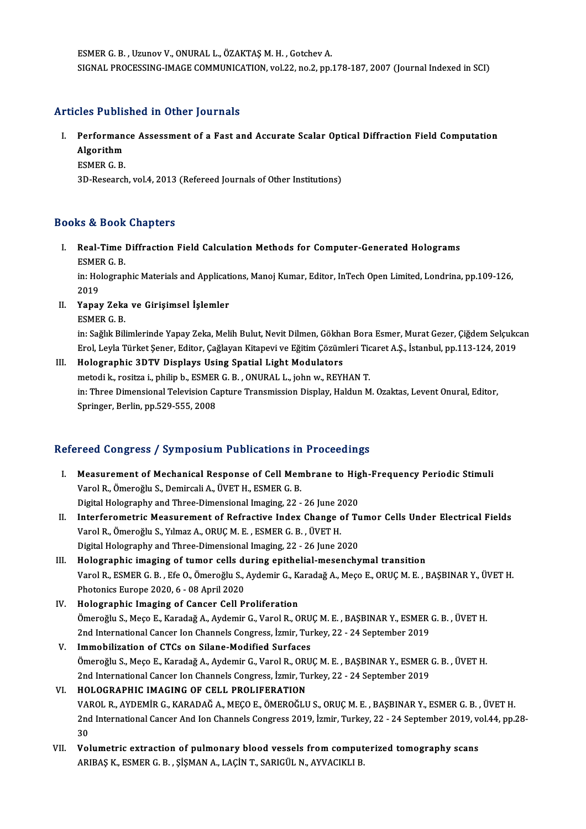ESMERG.B. ,UzunovV.,ONURAL L.,ÖZAKTAŞM.H. ,GotchevA. SIGNAL PROCESSING-IMAGE COMMUNICATION, vol.22, no.2, pp.178-187, 2007 (Journal Indexed in SCI)

# Articles Published in Other Journals

- rticles Published in Other Journals<br>I. Performance Assessment of a Fast and Accurate Scalar Optical Diffraction Field Computation<br>Algorithm Performan<br>Algorithm<br>ESMER C. B Performan<br>Algorithm<br>ESMER G. B.<br><sup>2D. Bosoarch</sup> Algorithm<br>ESMER G. B.<br>3D-Research, vol.4, 2013 (Refereed Journals of Other Institutions)
	-

## Books&Book Chapters

ooks & Book Chapters<br>I. Real-Time Diffraction Field Calculation Methods for Computer-Generated Holograms<br>ESMER C B ESMERG.B.<br>Real-Time<br>ESMERG.B. Real-Time Diffraction Field Calculation Methods for Computer-Generated Holograms<br>ESMER G. B.<br>in: Holographic Materials and Applications, Manoj Kumar, Editor, InTech Open Limited, Londrina, pp.109-126,<br>2019

ESME<br>in: Ho<br>2019<br>Yanar

2019<br>II. Yapay Zeka ve Girişimsel İşlemler ESMERG.B.

in: Sağlık Bilimlerinde Yapay Zeka, Melih Bulut, Nevit Dilmen, Gökhan Bora Esmer, Murat Gezer, Çiğdem Selçukcan ESMER G. B.<br>in: Sağlık Bilimlerinde Yapay Zeka, Melih Bulut, Nevit Dilmen, Gökhan Bora Esmer, Murat Gezer, Çiğdem Selçukc<br>Erol, Leyla Türket Şener, Editor, Çağlayan Kitapevi ve Eğitim Çözümleri Ticaret A.Ş., İstanbul, pp.1

# III. Holographic 3DTV Displays Using Spatial Light Modulators Erol, Leyla Türket Şener, Editor, Çağlayan Kitapevi ve Eğitim Çözümleri Tic<br>Holographic 3DTV Displays Using Spatial Light Modulators<br>metodi k., rositza i., philip b., ESMER G. B. , ONURAL L., john w., REYHAN T.<br>in: Three D in: Three Dimensional Television Capture Transmission Display, Haldun M. Ozaktas, Levent Onural, Editor,<br>Springer, Berlin, pp.529-555, 2008 metodi k., rositza i., philip b., ESMER G. B., ONURAL L., john w., REYHAN T.

# Refereed Congress / Symposium Publications in Proceedings

- efereed Congress / Symposium Publications in Proceedings<br>I. Measurement of Mechanical Response of Cell Membrane to High-Frequency Periodic Stimuli<br>Varel B. Ömereğlu S. Demireali A. ÜVET H. ESMER C. B Veca Gengress 7 by mpesium i ubiteations in<br>Measurement of Mechanical Response of Cell Men<br>Varol R., Ömeroğlu S., Demircali A., ÜVET H., ESMER G. B.<br>Digital Helegraphy and Three Dimonsional Imaging 22 Measurement of Mechanical Response of Cell Membrane to Hig<br>Varol R., Ömeroğlu S., Demircali A., ÜVET H., ESMER G. B.<br>Digital Holography and Three-Dimensional Imaging, 22 - 26 June 2020<br>Interferemetria Measurement of Befres Varol R., Ömeroğlu S., Demircali A., ÜVET H., ESMER G. B.<br>Digital Holography and Three-Dimensional Imaging, 22 - 26 June 2020<br>II. Interferometric Measurement of Refractive Index Change of Tumor Cells Under Electrical F
- Digital Holography and Three-Dimensional Imaging, 22 26 June 2<br>Interferometric Measurement of Refractive Index Change of<br>Varol R., Ömeroğlu S., Yılmaz A., ORUÇ M. E. , ESMER G. B. , ÜVET H.<br>Digital Holography and Three D Interferometric Measurement of Refractive Index Change of Tu<br>Varol R., Ömeroğlu S., Yılmaz A., ORUÇ M. E. , ESMER G. B. , ÜVET H.<br>Digital Holography and Three-Dimensional Imaging, 22 - 26 June 2020<br>Holographie imaging of t
- Digital Holography and Three-Dimensional Imaging, 22 26 June 2020<br>III. Holographic imaging of tumor cells during epithelial-mesenchymal transition Digital Holography and Three-Dimensional Imaging, 22 - 26 June 2020<br>Holographic imaging of tumor cells during epithelial-mesenchymal transition<br>Varol R., ESMER G. B. , Efe O., Ömeroğlu S., Aydemir G., Karadağ A., Meço E., Holographic imaging of tumor cells di<br>Varol R., ESMER G. B. , Efe O., Ömeroğlu S., .<br>Photonics Europe 2020, 6 - 08 April 2020<br>Holographic Imaging of Cancer Cell B. Varol R., ESMER G. B., Efe O., Ömeroğlu S., Aydemir G., K.<br>Photonics Europe 2020, 6 - 08 April 2020<br>IV. Holographic Imaging of Cancer Cell Proliferation<br>Ömeroğlu S. Mege E. Karadağ A. Aydemir G. Varal B. O.
- Photonics Europe 2020, 6 08 April 2020<br>Holographic Imaging of Cancer Cell Proliferation<br>Ömeroğlu S., Meço E., Karadağ A., Aydemir G., Varol R., ORUÇ M. E. , BAŞBINAR Y., ESMER G. B. , ÜVET H.<br>2nd International Cancer Ion Holographic Imaging of Cancer Cell Proliferation<br>Ömeroğlu S., Meço E., Karadağ A., Aydemir G., Varol R., ORUÇ M. E. , BAŞBINAR Y., ESMER<br>2nd International Cancer Ion Channels Congress, İzmir, Turkey, 22 - 24 September 2019 Ömeroğlu S., Meço E., Karadağ A., Aydemir G., Varol R., ORU<br>2nd International Cancer Ion Channels Congress, İzmir, Tur<br>V. Immobilization of CTCs on Silane-Modified Surfaces<br>Ömereğlu S. Mese E. Karadağ A. Aydemir G. Varol B
- 2nd International Cancer Ion Channels Congress, İzmir, Turkey, 22 24 September 2019<br>Immobilization of CTCs on Silane-Modified Surfaces<br>Ömeroğlu S., Meço E., Karadağ A., Aydemir G., Varol R., ORUÇ M. E. , BAŞBINAR Y., ESM Immobilization of CTCs on Silane-Modified Surfaces<br>Ömeroğlu S., Meço E., Karadağ A., Aydemir G., Varol R., ORUÇ M. E. , BAŞBINAR Y., ESMER<br>2nd International Cancer Ion Channels Congress, İzmir, Turkey, 22 - 24 September 20 Ömeroğlu S., Meço E., Karadağ A., Aydemir G., Varol R., ORU<br>2nd International Cancer Ion Channels Congress, İzmir, Tu<br>VI. HOLOGRAPHIC IMAGING OF CELL PROLIFERATION<br>VAROL B. AYDEMİR G. KARADAĞ A. MEGO E. ÖMEROĞLU
- 2nd International Cancer Ion Channels Congress, İzmir, Turkey, 22 24 September 2019<br>HOLOGRAPHIC IMAGING OF CELL PROLIFERATION<br>VAROL R., AYDEMİR G., KARADAĞ A., MEÇO E., ÖMEROĞLU S., ORUÇ M. E. , BAŞBINAR Y., ESMER G. B. HOLOGRAPHIC IMAGING OF CELL PROLIFERATION<br>VAROL R., AYDEMİR G., KARADAĞ A., MEÇO E., ÖMEROĞLU S., ORUÇ M. E. , BAŞBINAR Y., ESMER G. B. , ÜVET H.<br>2nd International Cancer And Ion Channels Congress 2019, İzmir, Turkey, 22 -VA<br>2nd<br>30<br>Vel 2nd International Cancer And Ion Channels Congress 2019, İzmir, Turkey, 22 - 24 September 2019, volumetric extraction of pulmonary blood vessels from computerized tomography scans<br>APIPAS K, ESMER G, P., SİSMAN A, LACİN T,
- 30<br>Volumetric extraction of pulmonary blood vessels from comput<br>ARIBAŞ K., ESMER G. B. , ŞİŞMAN A., LAÇİN T., SARIGÜL N., AYVACIKLI B.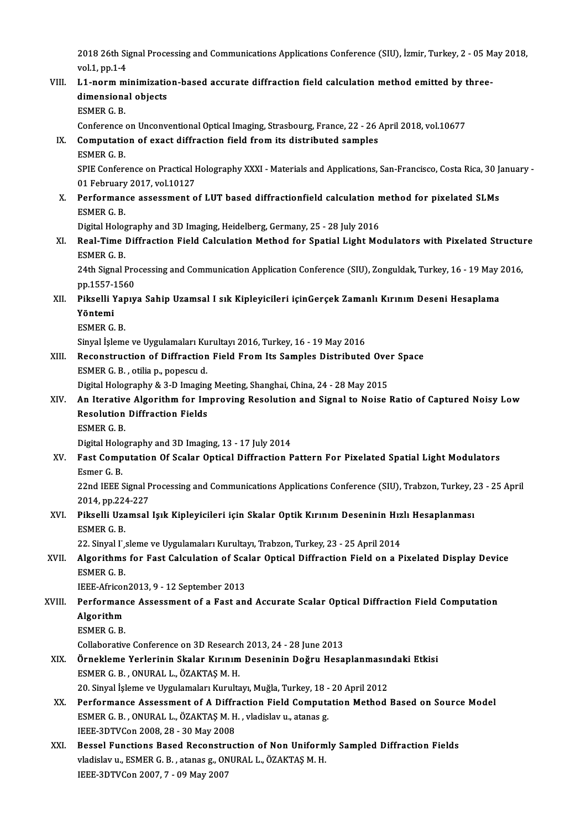2018 26th Signal Processing and Communications Applications Conference (SIU), İzmir, Turkey, 2 - 05 May 2018,<br>Vel.1. pp.1.4 2018 26th Signal<br>vol.1, pp.1-4<br>L1, porm mi

# 2018 26th Signal Processing and Communications Applications Conference (SIU), İzmir, Turkey, 2 - 05 M<br>vol.1, pp.1-4<br>VIII. L1-norm minimization-based accurate diffraction field calculation method emitted by three-<br>dimension vol.1, pp.1-4<br>L1-norm minimizatic<br>dimensional objects<br>ESMEP C-P L1-norm m<br>dimensiona<br>ESMER G. B.<br>Conforence dimensional objects<br>ESMER G. B.<br>Conference on Unconventional Optical Imaging, Strasbourg, France, 22 - 26 April 2018, vol.10677 ESMER G. B.<br>Conference on Unconventional Optical Imaging, Strasbourg, France, 22 - 26 .<br>IX. Computation of exact diffraction field from its distributed samples<br>ESMER C. B Conference<br>Computation<br>ESMER G. B.<br>SPIE Confere Computation of exact diffraction field from its distributed samples<br>ESMER G. B.<br>SPIE Conference on Practical Holography XXXI - Materials and Applications, San-Francisco, Costa Rica, 30 January -<br>01 Eebruary 2017, vol.10127 ESMER G. B.<br>SPIE Conference on Practical I<br>01 February 2017, vol.10127<br>Performance assessment o SPIE Conference on Practical Holography XXXI - Materials and Applications, San-Francisco, Costa Rica, 30 J<br>01 February 2017, vol.10127<br>X. Performance assessment of LUT based diffractionfield calculation method for pixelate 01 February<br>Performan<br>ESMER G. B.<br>Digital Halac Performance assessment of LUT based diffractionfield calculation n<br>ESMER G. B.<br>Digital Holography and 3D Imaging, Heidelberg, Germany, 25 - 28 July 2016<br>Real Time Diffraction Field Calculation Method for Spatial Light Me ESMER G. B.<br>Digital Holography and 3D Imaging, Heidelberg, Germany, 25 - 28 July 2016<br>XI. Real-Time Diffraction Field Calculation Method for Spatial Light Modulators with Pixelated Structure<br>ESMER G. B Digital Holog<br>**Real-Time**<br>ESMER G. B.<br>24th Signal I Real-Time Diffraction Field Calculation Method for Spatial Light Modulators with Pixelated Structu:<br>ESMER G. B.<br>24th Signal Processing and Communication Application Conference (SIU), Zonguldak, Turkey, 16 - 19 May 2016,<br>nn ESMER G. B.<br>24th Signal Processing and Communication Application Conference (SIU), Zonguldak, Turkey, 16 - 19 May 2016,<br>pp.1557-1560 24th Signal Processing and Communication Application Conference (SIU), Zonguldak, Turkey, 16 - 19 May :<br>pp.1557-1560<br>XII. Pikselli Yapıya Sahip Uzamsal I sık Kipleyicileri içinGerçek Zamanlı Kırınım Deseni Hesaplama<br>Vöntom pp.1557-<mark>:</mark><br>Pikselli Y<br>Yöntemi<br>ESMER C Pikselli Yap<br>Yöntemi<br>ESMER G. B.<br>Sinval İslam Yöntemi<br>ESMER G. B.<br>Sinyal İşleme ve Uygulamaları Kurultayı 2016, Turkey, 16 - 19 May 2016 ESMER G. B.<br>Sinyal İşleme ve Uygulamaları Kurultayı 2016, Turkey, 16 - 19 May 2016<br>XIII. Reconstruction of Diffraction Field From Its Samples Distributed Over Space<br>ESMER C. B. Atilia B. BORGGU d ESMERG.B. ,otilia p.,popescu d. Reconstruction of Diffraction Field From Its Samples Distributed Ove<br>ESMER G. B. , otilia p., popescu d.<br>Digital Holography & 3-D Imaging Meeting, Shanghai, China, 24 - 28 May 2015<br>An Itarative Algorithm for Improving Boso ESMER G. B. , otilia p., popescu d.<br>Digital Holography & 3-D Imaging Meeting, Shanghai, China, 24 - 28 May 2015<br>XIV. An Iterative Algorithm for Improving Resolution and Signal to Noise Ratio of Captured Noisy Low<br>Resol Digital Holography & 3-D Imaging Meeting, Shanghai, China, 24 - 28 May 2015<br>An Iterative Algorithm for Improving Resolution and Signal to Noise<br>Resolution Diffraction Fields<br>ESMER G. B. An Iterative<br>Resolution<br>ESMER G. B.<br>Digital Halac Digital Holography and 3D Imaging, 13 - 17 July 2014 ESMER G. B.<br>Digital Holography and 3D Imaging, 13 - 17 July 2014<br>XV. Fast Computation Of Scalar Optical Diffraction Pattern For Pixelated Spatial Light Modulators<br>Femer C. B Digital Holo<br>Fast Comp<br>Esmer G. B.<br>22nd IEEE 9 Fast Computation Of Scalar Optical Diffraction Pattern For Pixelated Spatial Light Modulators<br>Esmer G. B.<br>22nd IEEE Signal Processing and Communications Applications Conference (SIU), Trabzon, Turkey, 23 - 25 April<br>2014, n Esmer G. B.<br>22nd IEEE Signal Processing and Communications Applications Conference (SIU), Trabzon, Turkey, 23 - 25 April<br>2014, pp.224-227 22nd IEEE Signal Processing and Communications Applications Conference (SIU), Trabzon, Turkey, 2<br>2014, pp.224-227<br>XVI. Pikselli Uzamsal Işık Kipleyicileri için Skalar Optik Kırınım Deseninin Hızlı Hesaplanması 2014, pp.224<br>Pikselli Uza<br>ESMER G. B.<br>22. Sinyel L. Pikselli Uzamsal Işık Kipleyicileri için Skalar Optik Kırınım Deseninin Hız<br>ESMER G. B.<br>22. Sinyal I sleme ve Uygulamaları Kurultayı, Trabzon, Turkey, 23 - 25 April 2014<br>Algonithma fon Fast Coloulation of Saalan Optical Di ESMER G. B.<br>22. Sinyal I',sleme ve Uygulamaları Kurultayı, Trabzon, Turkey, 23 - 25 April 2014<br>XVII. Algorithms for Fast Calculation of Scalar Optical Diffraction Field on a Pixelated Display Device<br>ESMER G. B. 22. Sinyal I' sleme ve Uygulamaları Kurultayı, Trabzon, Turkey, 23 - 25 April 2014 Algorithms for Fast Calculation of Sca<br>ESMER G. B.<br>IEEE-Africon2013, 9 - 12 September 2013<br>Performance Assessment of a Fast an XVIII. Performance Assessment of a Fast and Accurate Scalar Optical Diffraction Field Computation<br>Algorithm **IEEE-Africon**<br>**Performan**<br>Algorithm<br>ESMER C P ESMERG.B. Algorithm<br>ESMER G. B.<br>Collaborative Conference on 3D Research 2013, 24 - 28 June 2013<br>Örnekleme Verlerinin Skeler Kırınım Deseninin Değru Hese ESMER G. B.<br>Collaborative Conference on 3D Research 2013, 24 - 28 June 2013<br>XIX. Örnekleme Yerlerinin Skalar Kırınım Deseninin Doğru Hesaplanmasındaki Etkisi<br>ESMER C. P. ONURAL L. ÖZAKTAS M. H Collaborative Conference on 3D Research<br>Örnekleme Yerlerinin Skalar Kırınım<br>ESMER G. B. , ONURAL L., ÖZAKTAŞ M. H.<br>20. Sinvel İslama ve Hygulamaları Kurulta Örnekleme Yerlerinin Skalar Kırınım Deseninin Doğru Hesaplanmasın<br>ESMER G. B. , ONURAL L., ÖZAKTAŞ M. H.<br>20. Sinyal İşleme ve Uygulamaları Kurultayı, Muğla, Turkey, 18 - 20 April 2012<br>Performanse Assessment of A Diffrestio ESMER G. B. , ONURAL L., ÖZAKTAŞ M. H.<br>20. Sinyal İşleme ve Uygulamaları Kurultayı, Muğla, Turkey, 18 - 20 April 2012<br>XX. Performance Assessment of A Diffraction Field Computation Method Based on Source Model 20. Sinyal İşleme ve Uygulamaları Kurultayı, Muğla, Turkey, 18 -<br>Performance Assessment of A Diffraction Field Computa<br>ESMER G. B. , ONURAL L., ÖZAKTAŞ M. H. , vladislav u., atanas g.<br>JEEE 2DTVCon 2008-28 - 20 May 2008 Performance Assessment of A Diffra<br>ESMER G. B. , ONURAL L., ÖZAKTAŞ M. H<br>IEEE-3DTVCon 2008, 28 - 30 May 2008<br>Pessel Eunstians Based Besenstrus XXI. Bessel Functions Based Reconstruction of Non Uniformly Sampled Diffraction Fields IEEE-3DTVCon 2008, 28 - 30 May 2008<br>Bessel Functions Based Reconstruction of Non Uniform<br>vladislav u., ESMER G. B. , atanas g., ONURAL L., ÖZAKTAŞ M. H.<br>JEEE 2DTVCon 2007, 7 - 00 May 2007

Bessel Functions Based Reconstru<br>vladislav u., ESMER G. B. , atanas g., ON<br>IEEE-3DTVCon 2007, 7 - 09 May 2007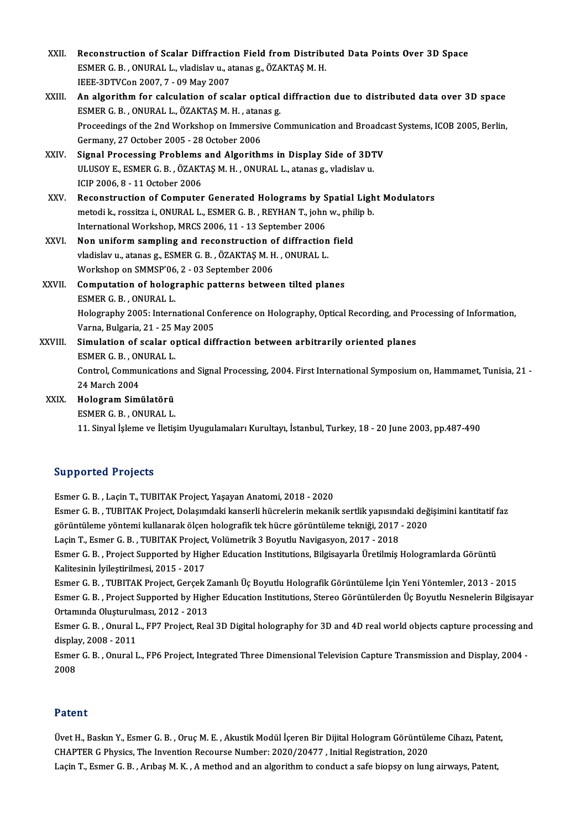| XXII.  | Reconstruction of Scalar Diffraction Field from Distributed Data Points Over 3D Space            |
|--------|--------------------------------------------------------------------------------------------------|
|        | ESMER G. B., ONURAL L., vladislav u., atanas g., ÖZAKTAŞ M. H.                                   |
|        | IEEE-3DTVCon 2007, 7 - 09 May 2007                                                               |
| XXIII. | An algorithm for calculation of scalar optical diffraction due to distributed data over 3D space |
|        | ECMED $\cap$ D ONIIDALL $\overline{O7}$ AVTAC M H otopas $\overline{a}$                          |

- EEE-3DTVCon 2007, 7 09 May 2007<br>An algorithm for calculation of scalar optical<br>ESMER G. B. , ONURAL L., ÖZAKTAŞ M. H. , atanas g.<br>Preseedings of the 2nd Werkshop on Immersive Co An algorithm for calculation of scalar optical diffraction due to distributed data over 3D space<br>ESMER G. B. , ONURAL L., ÖZAKTAŞ M. H. , atanas g.<br>Proceedings of the 2nd Workshop on Immersive Communication and Broadcast S ESMER G. B. , ONURAL L., ÖZAKTAŞ M. H. , atanas g.<br>Proceedings of the 2nd Workshop on Immersive Communication and Broadc<br>Germany, 27 October 2005 - 28 October 2006<br>Signal Processing Problems and Algorithms in Display Side Proceedings of the 2nd Workshop on Immersive Communication and Broadca<br>Germany, 27 October 2005 - 28 October 2006<br>XXIV. Signal Processing Problems and Algorithms in Display Side of 3DTV<br>III USOVE ESMERC R. ÖZAKTAS M.H. ONU
- Germany, 27 October 2005 28 October 2006<br>Signal Processing Problems and Algorithms in Display Side of 3D1<br>ULUSOY E., ESMER G. B. , ÖZAKTAŞ M. H. , ONURAL L., atanas g., vladislavu.<br>JCIP 2006-9 11 October 2006 Signal Processing Problems<br>ULUSOY E., ESMER G. B. , ÖZAKT<br>ICIP 2006, 8 - 11 October 2006<br>Beconstruction of Computer ULUSOY E., ESMER G. B., ÖZAKTAŞ M. H., ONURAL L., atanas g., vladislav u.<br>ICIP 2006, 8 - 11 October 2006<br>XXV. Reconstruction of Computer Generated Holograms by Spatial Light Modulators<br>motodi k. receitro i. ONURALL, ESMER
- ICIP 2006, 8 11 October 2006<br>Reconstruction of Computer Generated Holograms by Spatial Ligh<br>metodik., rossitza i., ONURAL L., ESMER G. B. , REYHAN T., john w., philip b.<br>International Workshop MPCS 2006, 11, 12 September Reconstruction of Computer Generated Holograms by S<br>metodi k., rossitza i., ONURAL L., ESMER G. B. , REYHAN T., john<br>International Workshop, MRCS 2006, 11 - 13 September 2006<br>Non uniform campling and reconstruction of diff metodi k., rossitza i., ONURAL L., ESMER G. B., REYHAN T., john w., phi<br>International Workshop, MRCS 2006, 11 - 13 September 2006<br>XXVI. Non uniform sampling and reconstruction of diffraction field<br>videously at a stage s. E
- International Workshop, MRCS 2006, 11 13 September 2006<br>Non uniform sampling and reconstruction of diffraction<br>vladislav u., atanas g., ESMER G. B. , ÖZAKTAŞ M. H. , ONURAL L.<br>Werkshop en SMMSP/06-2 02 September 2006 Non uniform sampling and reconstruction of<br>vladislav u., atanas g., ESMER G. B. , ÖZAKTAŞ M. H<br>Workshop on SMMSP'06, 2 - 03 September 2006<br>Computation of belegraphic patterns betwe vladislav u., atanas g., ESMER G. B. , ÖZAKTAŞ M. H. , ONURAL L.<br>Workshop on SMMSP'06, 2 - 03 September 2006<br>XXVII. Computation of holographic patterns between tilted planes<br>ESMER G. B. . ONURAL L. Workshop on SMMSP'06, 2 - 03 September 2006

# Computation of holographic patterns between tilted planes<br>ESMER G. B. , ONURAL L.<br>Holography 2005: International Conference on Holography, Optical Recording, and Processing of Information,<br>Varne, Bulgaria.21, 25 May 2005 ESMER G. B. , ONURAL L.<br>Holography 2005: International Co<br>Varna, Bulgaria, 21 - 25 May 2005<br>Simulation of scalar ontical dif Holography 2005: International Conference on Holography, Optical Recording, and Pr<br>Varna, Bulgaria, 21 - 25 May 2005<br>XXVIII. Simulation of scalar optical diffraction between arbitrarily oriented planes<br>ESMER C. B. ONURAL I

Varna, Bulgaria, 21 - 25 May 2005<br>Simulation of scalar optical diffraction between arbitrarily oriented planes<br>ESMER G. B. , ONURAL L. Simulation of scalar optical diffraction between arbitrarily oriented planes<br>ESMER G. B. , ONURAL L.<br>Control, Communications and Signal Processing, 2004. First International Symposium on, Hammamet, Tunisia, 21 -<br>24 Marsh 2 ESMER G. B. , ON<br>Control, Commu<br>24 March 2004<br>Hologram Simi 24 March 2004<br>XXIX. Hologram Simülatörü

ESMERG.B. ,ONURAL L.

11.Sinyal İşleme ve İletişimUyugulamalarıKurultayı, İstanbul,Turkey,18 -20 June 2003,pp.487-490

### Supported Projects

EsmerG.B. ,LaçinT.,TUBITAKProject,YaşayanAnatomi,2018 -2020 Esmer G. B. , Laçin T., TUBITAK Project, Yaşayan Anatomi, 2018 - 2020<br>Esmer G. B. , Laçin T., TUBITAK Project, Yaşayan Anatomi, 2018 - 2020<br>Görüntüleme vöntemi kullanarak ölsen belegrefik tek bücre görüntüleme tekniği, 201 Esmer G. B. , Laçin T., TUBITAK Project, Yaşayan Anatomi, 2018 - 2020<br>Esmer G. B. , TUBITAK Project, Dolaşımdaki kanserli hücrelerin mekanik sertlik yapısındaki değ<br>görüntüleme yöntemi kullanarak ölçen holografik tek hücre Esmer G. B. , TUBITAK Project, Dolaşımdaki kanserli hücrelerin mekanik sertlik yapısınd<br>görüntüleme yöntemi kullanarak ölçen holografik tek hücre görüntüleme tekniği, 2017<br>Laçin T., Esmer G. B. , TUBITAK Project, Volümetri görüntüleme yöntemi kullanarak ölçen holografik tek hücre görüntüleme tekniği, 2017 - 2020<br>Laçin T., Esmer G. B. , TUBITAK Project, Volümetrik 3 Boyutlu Navigasyon, 2017 - 2018<br>Esmer G. B. , Project Supported by Higher Edu Laçin T., Esmer G. B. , TUBITAK Project<br>Esmer G. B. , Project Supported by High<br>Kalitesinin İyileştirilmesi, 2015 - 2017<br>Esmer G. B. , TUBITAK Project, Carsek EsmerG.B. ,TUBITAKProject,GerçekZamanlıÜçBoyutluHolografikGörüntüleme İçinYeniYöntemler,2013 -2015 Kalitesinin İyileştirilmesi, 2015 - 2017<br>Esmer G. B. , TUBITAK Project, Gerçek Zamanlı Üç Boyutlu Holografik Görüntüleme İçin Yeni Yöntemler, 2013 - 2015<br>Esmer G. B. , Project Supported by Higher Education Institutions, St Esmer G. B. , TUBITAK Project, Gerçek Z<br>Esmer G. B. , Project Supported by High<br>Ortamında Oluşturulması, 2012 - 2013<br>Esmer G. B. , Onural J., EB7 Project, Bea Esmer G. B. , Project Supported by Higher Education Institutions, Stereo Görüntülerden Üç Boyutlu Nesnelerin Bilgisayar<br>Ortamında Oluşturulması, 2012 - 2013<br>Esmer G. B. , Onural L., FP7 Project, Real 3D Digital holography Ortamında Oluşturulm<br>Esmer G. B. , Onural I<br>display, 2008 - 2011<br>Esmer G. B. , Onural I Esmer G. B. , Onural L., FP7 Project, Real 3D Digital holography for 3D and 4D real world objects capture processing and<br>display, 2008 - 2011<br>Esmer G. B. , Onural L., FP6 Project, Integrated Three Dimensional Television Ca display, 2008 - 2011<br>Esmer G. B. , Onural L., FP6 Project, Integrated Three Dimensional Television Capture Transmission and Display, 2004 -<br>2008

#### Patent

Patent<br>Üvet H., Baskın Y., Esmer G. B. , Oruç M. E. , Akustik Modül İçeren Bir Dijital Hologram Görüntüleme Cihazı, Patent,<br>CHAPTER G Physics, The Invention Beseuree Number: 2020/20477, Jaitial Besistration, 2020 r acente<br>Üvet H., Baskın Y., Esmer G. B. , Oruç M. E. , Akustik Modül İçeren Bir Dijital Hologram Görüntüle<br>CHAPTER G Physics, The Invention Recourse Number: 2020/20477 , Initial Registration, 2020<br>Lacin T. Esmer G. B. Arr Üvet H., Baskın Y., Esmer G. B. , Oruç M. E. , Akustik Modül İçeren Bir Dijital Hologram Görüntüleme Cihazı, Paten<br>CHAPTER G Physics, The Invention Recourse Number: 2020/20477 , Initial Registration, 2020<br>Laçin T., Esmer G